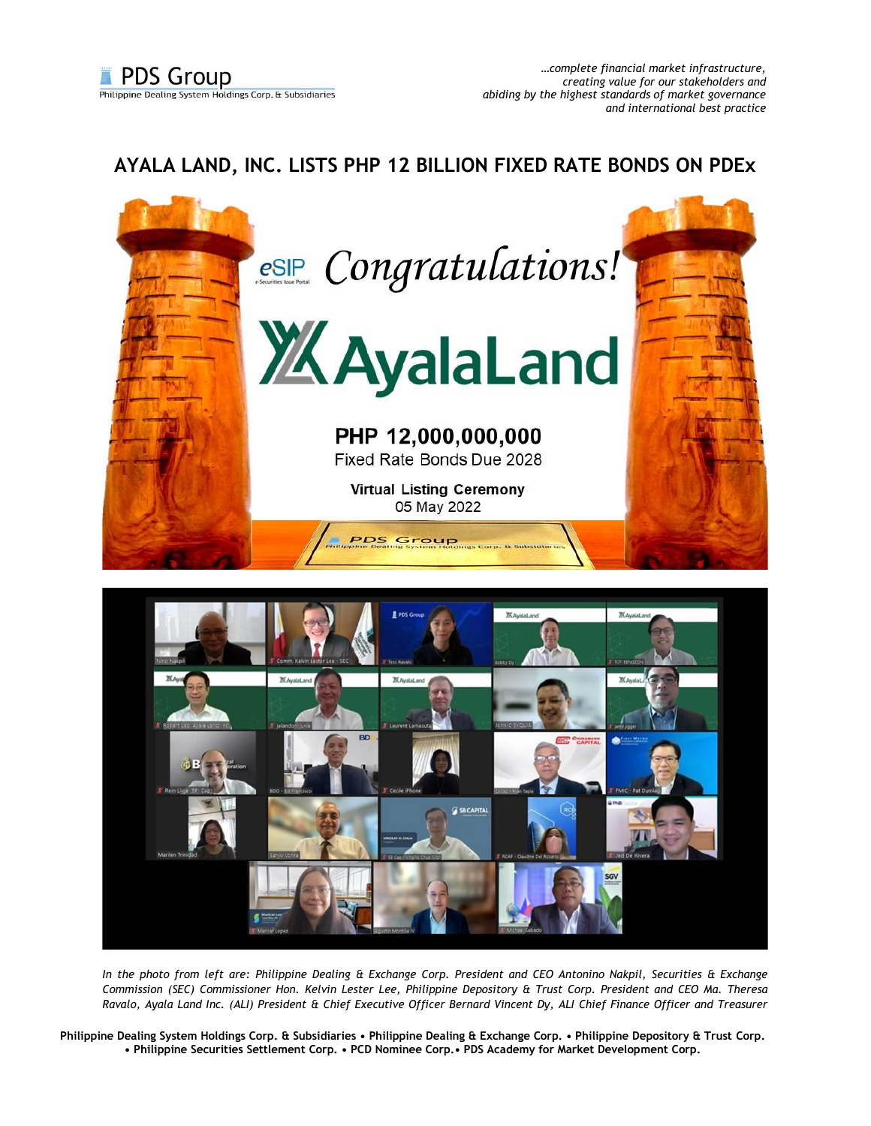## **AYALA LAND, INC. LISTS PHP 12 BILLION FIXED RATE BONDS ON PDEx**





*In the photo from left are: Philippine Dealing & Exchange Corp. President and CEO Antonino Nakpil, Securities & Exchange Commission (SEC) Commissioner Hon. Kelvin Lester Lee, Philippine Depository & Trust Corp. President and CEO Ma. Theresa Ravalo, Ayala Land Inc. (ALI) President & Chief Executive Officer Bernard Vincent Dy, ALI Chief Finance Officer and Treasurer*

**Philippine Dealing System Holdings Corp. & Subsidiaries • Philippine Dealing & Exchange Corp. • Philippine Depository & Trust Corp. • Philippine Securities Settlement Corp. • PCD Nominee Corp.• PDS Academy for Market Development Corp.**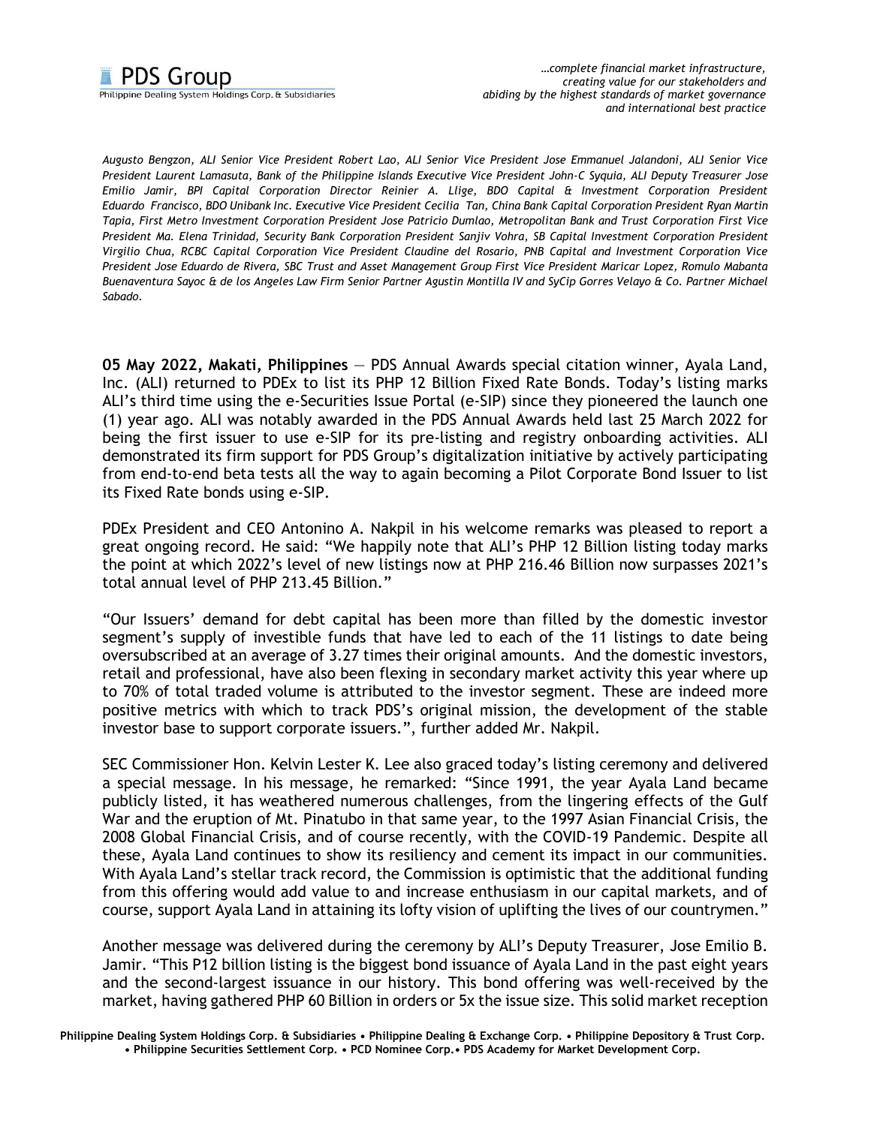## **PDS Group** Philippine Dealing System Holdings Corp. & Subsidiaries

*Augusto Bengzon, ALI Senior Vice President Robert Lao, ALI Senior Vice President Jose Emmanuel Jalandoni, ALI Senior Vice President Laurent Lamasuta, Bank of the Philippine Islands Executive Vice President John-C Syquia, ALI Deputy Treasurer Jose Emilio Jamir, BPI Capital Corporation Director Reinier A. Llige, BDO Capital & Investment Corporation President Eduardo Francisco, BDO Unibank Inc. Executive Vice President Cecilia Tan, China Bank Capital Corporation President Ryan Martin Tapia, First Metro Investment Corporation President Jose Patricio Dumlao, Metropolitan Bank and Trust Corporation First Vice President Ma. Elena Trinidad, Security Bank Corporation President Sanjiv Vohra, SB Capital Investment Corporation President Virgilio Chua, RCBC Capital Corporation Vice President Claudine del Rosario, PNB Capital and Investment Corporation Vice President Jose Eduardo de Rivera, SBC Trust and Asset Management Group First Vice President Maricar Lopez, Romulo Mabanta Buenaventura Sayoc & de los Angeles Law Firm Senior Partner Agustin Montilla IV and SyCip Gorres Velayo & Co. Partner Michael Sabado.*

**05 May 2022, Makati, Philippines** — PDS Annual Awards special citation winner, Ayala Land, Inc. (ALI) returned to PDEx to list its PHP 12 Billion Fixed Rate Bonds. Today's listing marks ALI's third time using the e-Securities Issue Portal (e-SIP) since they pioneered the launch one (1) year ago. ALI was notably awarded in the PDS Annual Awards held last 25 March 2022 for being the first issuer to use e-SIP for its pre-listing and registry onboarding activities. ALI demonstrated its firm support for PDS Group's digitalization initiative by actively participating from end-to-end beta tests all the way to again becoming a Pilot Corporate Bond Issuer to list its Fixed Rate bonds using e-SIP.

PDEx President and CEO Antonino A. Nakpil in his welcome remarks was pleased to report a great ongoing record. He said: "We happily note that ALI's PHP 12 Billion listing today marks the point at which 2022's level of new listings now at PHP 216.46 Billion now surpasses 2021's total annual level of PHP 213.45 Billion."

"Our Issuers' demand for debt capital has been more than filled by the domestic investor segment's supply of investible funds that have led to each of the 11 listings to date being oversubscribed at an average of 3.27 times their original amounts. And the domestic investors, retail and professional, have also been flexing in secondary market activity this year where up to 70% of total traded volume is attributed to the investor segment. These are indeed more positive metrics with which to track PDS's original mission, the development of the stable investor base to support corporate issuers.", further added Mr. Nakpil.

SEC Commissioner Hon. Kelvin Lester K. Lee also graced today's listing ceremony and delivered a special message. In his message, he remarked: "Since 1991, the year Ayala Land became publicly listed, it has weathered numerous challenges, from the lingering effects of the Gulf War and the eruption of Mt. Pinatubo in that same year, to the 1997 Asian Financial Crisis, the 2008 Global Financial Crisis, and of course recently, with the COVID-19 Pandemic. Despite all these, Ayala Land continues to show its resiliency and cement its impact in our communities. With Ayala Land's stellar track record, the Commission is optimistic that the additional funding from this offering would add value to and increase enthusiasm in our capital markets, and of course, support Ayala Land in attaining its lofty vision of uplifting the lives of our countrymen."

Another message was delivered during the ceremony by ALI's Deputy Treasurer, Jose Emilio B. Jamir. "This P12 billion listing is the biggest bond issuance of Ayala Land in the past eight years and the second-largest issuance in our history. This bond offering was well-received by the market, having gathered PHP 60 Billion in orders or 5x the issue size. This solid market reception